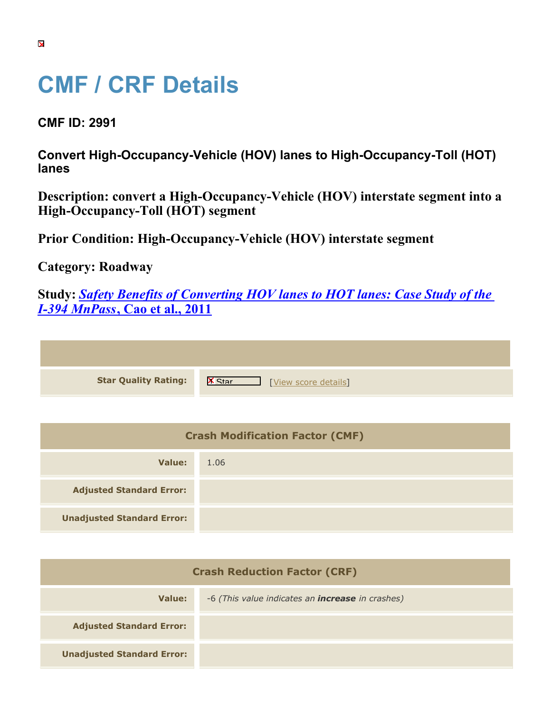## **CMF / CRF Details**

**CMF ID: 2991**

**Convert High-Occupancy-Vehicle (HOV) lanes to High-Occupancy-Toll (HOT) lanes**

|                                   | Description: convert a High-Occupancy-Vehicle (HOV) interstate segment into a |
|-----------------------------------|-------------------------------------------------------------------------------|
| High-Occupancy-Toll (HOT) segment |                                                                               |

**Prior Condition: High-Occupancy-Vehicle (HOV) interstate segment**

**Category: Roadway**

**Unadjusted Standard Error:**

**Study:** *[Safety Benefits of Converting HOV lanes to HOT lanes: Case Study of the](https://cmfclearinghouse.org/study_detail.cfm?stid=208) [I-394 MnPass](https://cmfclearinghouse.org/study_detail.cfm?stid=208)***[, Cao et al., 2011](https://cmfclearinghouse.org/study_detail.cfm?stid=208)**

| <b>Star Quality Rating:</b>            | $\mathsf{K}$<br>[View score details] |
|----------------------------------------|--------------------------------------|
|                                        |                                      |
| <b>Crash Modification Factor (CMF)</b> |                                      |
| <b>Value:</b>                          | 1.06                                 |
| <b>Adjusted Standard Error:</b>        |                                      |

**Crash Reduction Factor (CRF) Value:** -6 *(This value indicates an increase in crashes)* **Adjusted Standard Error: Unadjusted Standard Error:**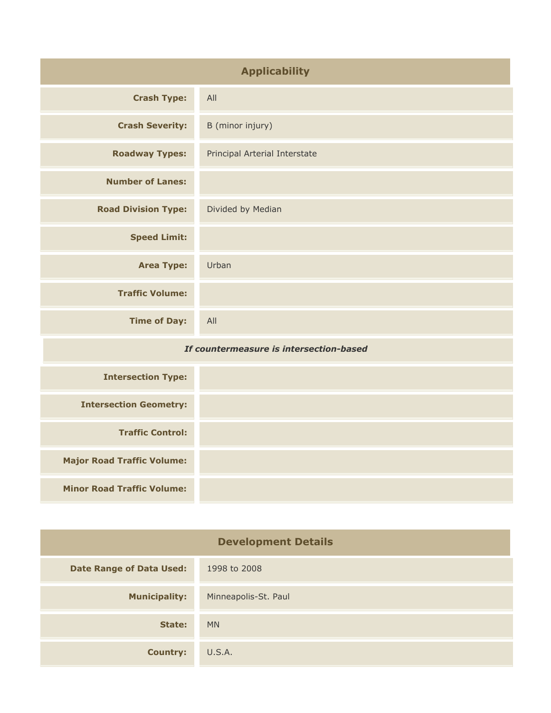| <b>Applicability</b>                    |                               |
|-----------------------------------------|-------------------------------|
| <b>Crash Type:</b>                      | All                           |
| <b>Crash Severity:</b>                  | B (minor injury)              |
| <b>Roadway Types:</b>                   | Principal Arterial Interstate |
| <b>Number of Lanes:</b>                 |                               |
| <b>Road Division Type:</b>              | Divided by Median             |
| <b>Speed Limit:</b>                     |                               |
| <b>Area Type:</b>                       | Urban                         |
| <b>Traffic Volume:</b>                  |                               |
| <b>Time of Day:</b>                     | All                           |
| If countermeasure is intersection-based |                               |
| <b>Intersection Type:</b>               |                               |
| <b>Intersection Geometry:</b>           |                               |
| <b>Traffic Control:</b>                 |                               |
| <b>Major Road Traffic Volume:</b>       |                               |
| <b>Minor Road Traffic Volume:</b>       |                               |

| <b>Development Details</b>      |                      |
|---------------------------------|----------------------|
| <b>Date Range of Data Used:</b> | 1998 to 2008         |
| <b>Municipality:</b>            | Minneapolis-St. Paul |
| State:                          | <b>MN</b>            |
| <b>Country:</b>                 | U.S.A.               |